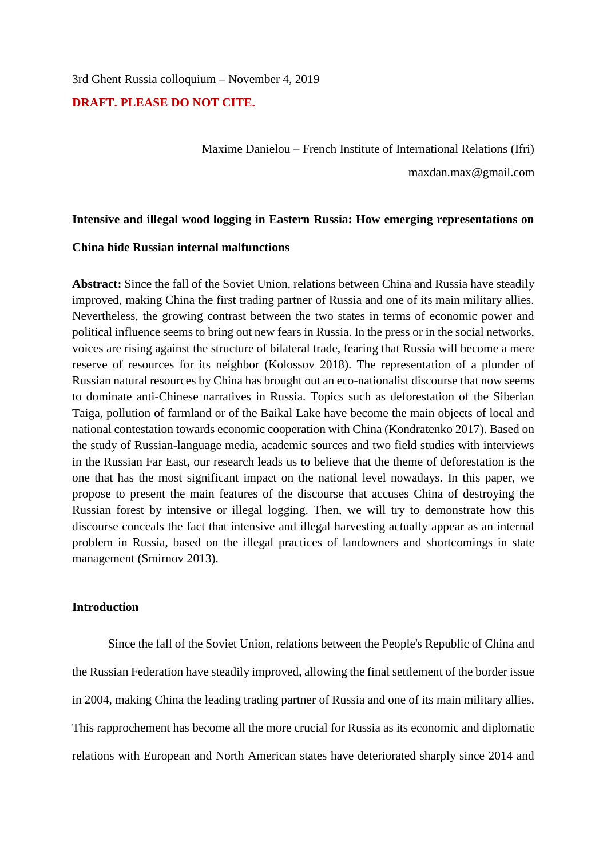3rd Ghent Russia colloquium – November 4, 2019

#### **DRAFT. PLEASE DO NOT CITE.**

Maxime Danielou – French Institute of International Relations (Ifri) maxdan.max@gmail.com

#### **Intensive and illegal wood logging in Eastern Russia: How emerging representations on**

#### **China hide Russian internal malfunctions**

**Abstract:** Since the fall of the Soviet Union, relations between China and Russia have steadily improved, making China the first trading partner of Russia and one of its main military allies. Nevertheless, the growing contrast between the two states in terms of economic power and political influence seems to bring out new fears in Russia. In the press or in the social networks, voices are rising against the structure of bilateral trade, fearing that Russia will become a mere reserve of resources for its neighbor (Kolossov 2018). The representation of a plunder of Russian natural resources by China has brought out an eco-nationalist discourse that now seems to dominate anti-Chinese narratives in Russia. Topics such as deforestation of the Siberian Taiga, pollution of farmland or of the Baikal Lake have become the main objects of local and national contestation towards economic cooperation with China (Kondratenko 2017). Based on the study of Russian-language media, academic sources and two field studies with interviews in the Russian Far East, our research leads us to believe that the theme of deforestation is the one that has the most significant impact on the national level nowadays. In this paper, we propose to present the main features of the discourse that accuses China of destroying the Russian forest by intensive or illegal logging. Then, we will try to demonstrate how this discourse conceals the fact that intensive and illegal harvesting actually appear as an internal problem in Russia, based on the illegal practices of landowners and shortcomings in state management (Smirnov 2013).

#### **Introduction**

Since the fall of the Soviet Union, relations between the People's Republic of China and the Russian Federation have steadily improved, allowing the final settlement of the border issue in 2004, making China the leading trading partner of Russia and one of its main military allies. This rapprochement has become all the more crucial for Russia as its economic and diplomatic relations with European and North American states have deteriorated sharply since 2014 and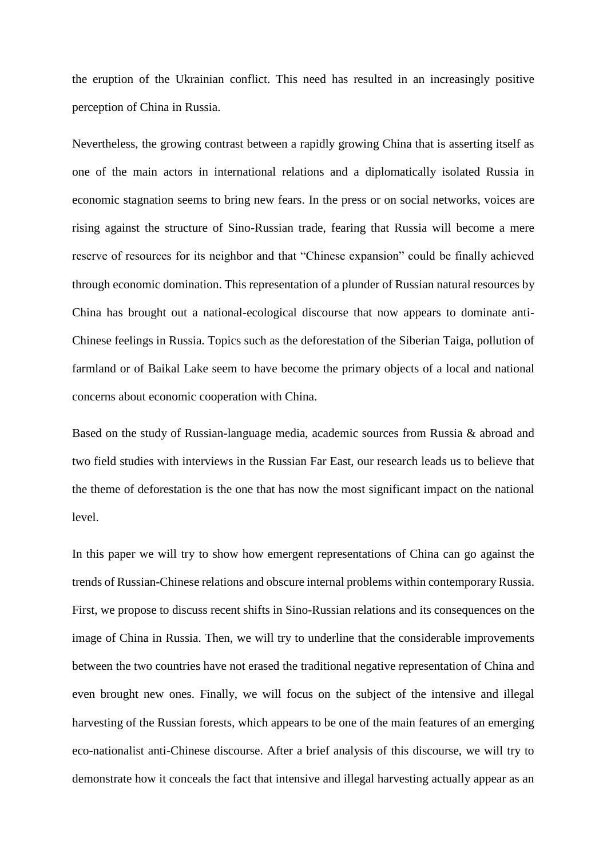the eruption of the Ukrainian conflict. This need has resulted in an increasingly positive perception of China in Russia.

Nevertheless, the growing contrast between a rapidly growing China that is asserting itself as one of the main actors in international relations and a diplomatically isolated Russia in economic stagnation seems to bring new fears. In the press or on social networks, voices are rising against the structure of Sino-Russian trade, fearing that Russia will become a mere reserve of resources for its neighbor and that "Chinese expansion" could be finally achieved through economic domination. This representation of a plunder of Russian natural resources by China has brought out a national-ecological discourse that now appears to dominate anti-Chinese feelings in Russia. Topics such as the deforestation of the Siberian Taiga, pollution of farmland or of Baikal Lake seem to have become the primary objects of a local and national concerns about economic cooperation with China.

Based on the study of Russian-language media, academic sources from Russia & abroad and two field studies with interviews in the Russian Far East, our research leads us to believe that the theme of deforestation is the one that has now the most significant impact on the national level.

In this paper we will try to show how emergent representations of China can go against the trends of Russian-Chinese relations and obscure internal problems within contemporary Russia. First, we propose to discuss recent shifts in Sino-Russian relations and its consequences on the image of China in Russia. Then, we will try to underline that the considerable improvements between the two countries have not erased the traditional negative representation of China and even brought new ones. Finally, we will focus on the subject of the intensive and illegal harvesting of the Russian forests, which appears to be one of the main features of an emerging eco-nationalist anti-Chinese discourse. After a brief analysis of this discourse, we will try to demonstrate how it conceals the fact that intensive and illegal harvesting actually appear as an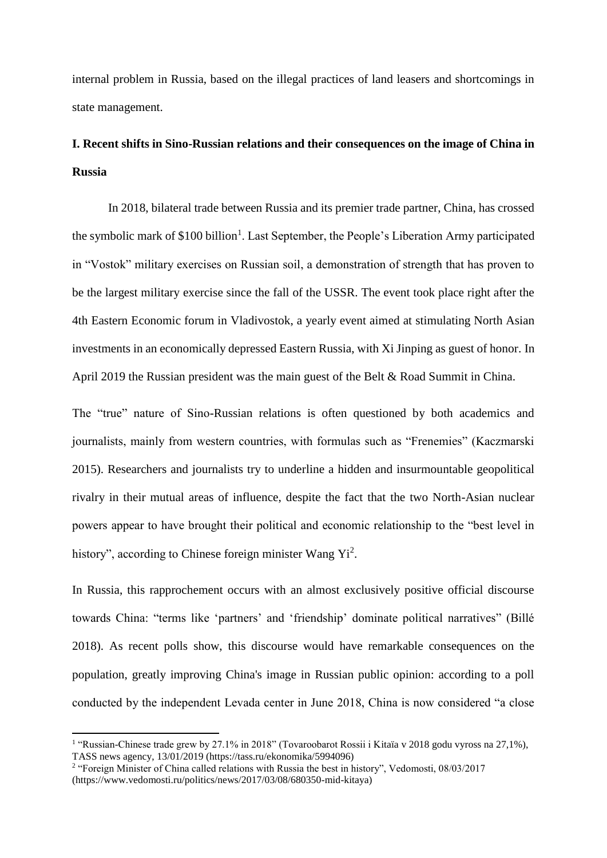internal problem in Russia, based on the illegal practices of land leasers and shortcomings in state management.

# **I. Recent shifts in Sino-Russian relations and their consequences on the image of China in Russia**

In 2018, bilateral trade between Russia and its premier trade partner, China, has crossed the symbolic mark of \$100 billion<sup>1</sup>. Last September, the People's Liberation Army participated in "Vostok" military exercises on Russian soil, a demonstration of strength that has proven to be the largest military exercise since the fall of the USSR. The event took place right after the 4th Eastern Economic forum in Vladivostok, a yearly event aimed at stimulating North Asian investments in an economically depressed Eastern Russia, with Xi Jinping as guest of honor. In April 2019 the Russian president was the main guest of the Belt & Road Summit in China.

The "true" nature of Sino-Russian relations is often questioned by both academics and journalists, mainly from western countries, with formulas such as "Frenemies" (Kaczmarski 2015). Researchers and journalists try to underline a hidden and insurmountable geopolitical rivalry in their mutual areas of influence, despite the fact that the two North-Asian nuclear powers appear to have brought their political and economic relationship to the "best level in history", according to Chinese foreign minister Wang Yi<sup>2</sup>.

In Russia, this rapprochement occurs with an almost exclusively positive official discourse towards China: "terms like 'partners' and 'friendship' dominate political narratives" (Billé 2018). As recent polls show, this discourse would have remarkable consequences on the population, greatly improving China's image in Russian public opinion: according to a poll conducted by the independent Levada center in June 2018, China is now considered "a close

**.** 

<sup>&</sup>lt;sup>1</sup> "Russian-Chinese trade grew by 27.1% in 2018" (Tovaroobarot Rossii i Kitaïa v 2018 godu vyross na 27,1%), TASS news agency, 13/01/2019 (https://tass.ru/ekonomika/5994096)

<sup>&</sup>lt;sup>2</sup> "Foreign Minister of China called relations with Russia the best in history", Vedomosti, 08/03/2017 (https://www.vedomosti.ru/politics/news/2017/03/08/680350-mid-kitaya)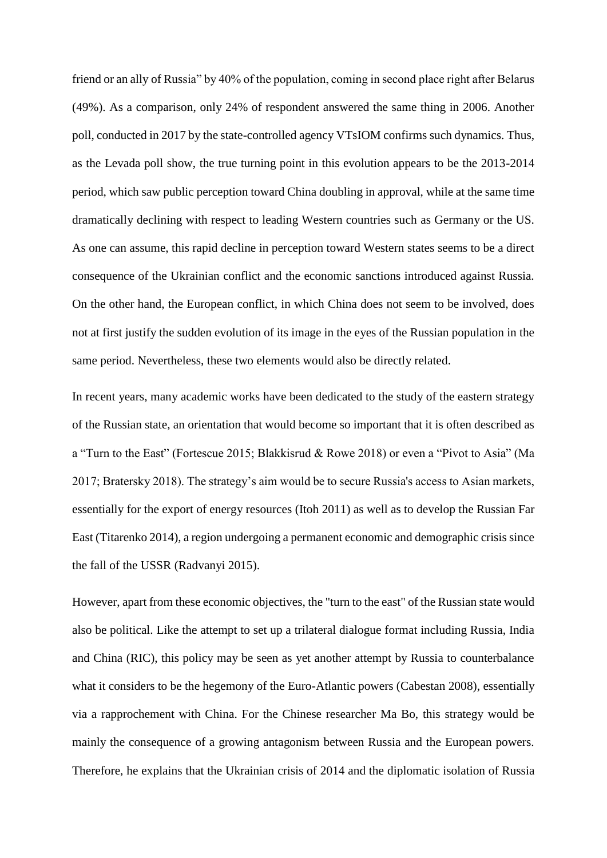friend or an ally of Russia" by 40% of the population, coming in second place right after Belarus (49%). As a comparison, only 24% of respondent answered the same thing in 2006. Another poll, conducted in 2017 by the state-controlled agency VTsIOM confirms such dynamics. Thus, as the Levada poll show, the true turning point in this evolution appears to be the 2013-2014 period, which saw public perception toward China doubling in approval, while at the same time dramatically declining with respect to leading Western countries such as Germany or the US. As one can assume, this rapid decline in perception toward Western states seems to be a direct consequence of the Ukrainian conflict and the economic sanctions introduced against Russia. On the other hand, the European conflict, in which China does not seem to be involved, does not at first justify the sudden evolution of its image in the eyes of the Russian population in the same period. Nevertheless, these two elements would also be directly related.

In recent years, many academic works have been dedicated to the study of the eastern strategy of the Russian state, an orientation that would become so important that it is often described as a "Turn to the East" (Fortescue 2015; Blakkisrud & Rowe 2018) or even a "Pivot to Asia" (Ma 2017; Bratersky 2018). The strategy's aim would be to secure Russia's access to Asian markets, essentially for the export of energy resources (Itoh 2011) as well as to develop the Russian Far East (Titarenko 2014), a region undergoing a permanent economic and demographic crisis since the fall of the USSR (Radvanyi 2015).

However, apart from these economic objectives, the "turn to the east" of the Russian state would also be political. Like the attempt to set up a trilateral dialogue format including Russia, India and China (RIC), this policy may be seen as yet another attempt by Russia to counterbalance what it considers to be the hegemony of the Euro-Atlantic powers (Cabestan 2008), essentially via a rapprochement with China. For the Chinese researcher Ma Bo, this strategy would be mainly the consequence of a growing antagonism between Russia and the European powers. Therefore, he explains that the Ukrainian crisis of 2014 and the diplomatic isolation of Russia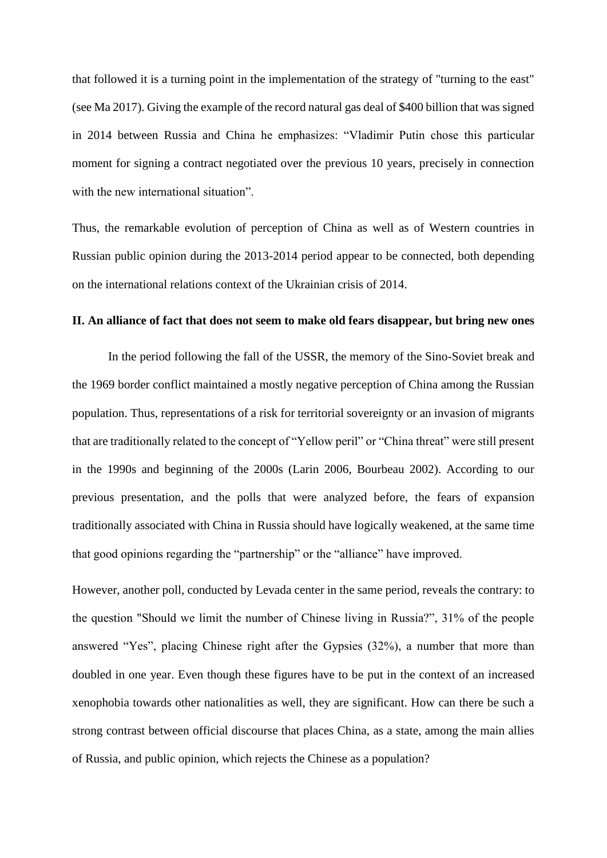that followed it is a turning point in the implementation of the strategy of "turning to the east" (see Ma 2017). Giving the example of the record natural gas deal of \$400 billion that was signed in 2014 between Russia and China he emphasizes: "Vladimir Putin chose this particular moment for signing a contract negotiated over the previous 10 years, precisely in connection with the new international situation".

Thus, the remarkable evolution of perception of China as well as of Western countries in Russian public opinion during the 2013-2014 period appear to be connected, both depending on the international relations context of the Ukrainian crisis of 2014.

#### **II. An alliance of fact that does not seem to make old fears disappear, but bring new ones**

In the period following the fall of the USSR, the memory of the Sino-Soviet break and the 1969 border conflict maintained a mostly negative perception of China among the Russian population. Thus, representations of a risk for territorial sovereignty or an invasion of migrants that are traditionally related to the concept of "Yellow peril" or "China threat" were still present in the 1990s and beginning of the 2000s (Larin 2006, Bourbeau 2002). According to our previous presentation, and the polls that were analyzed before, the fears of expansion traditionally associated with China in Russia should have logically weakened, at the same time that good opinions regarding the "partnership" or the "alliance" have improved.

However, another poll, conducted by Levada center in the same period, reveals the contrary: to the question "Should we limit the number of Chinese living in Russia?", 31% of the people answered "Yes", placing Chinese right after the Gypsies (32%), a number that more than doubled in one year. Even though these figures have to be put in the context of an increased xenophobia towards other nationalities as well, they are significant. How can there be such a strong contrast between official discourse that places China, as a state, among the main allies of Russia, and public opinion, which rejects the Chinese as a population?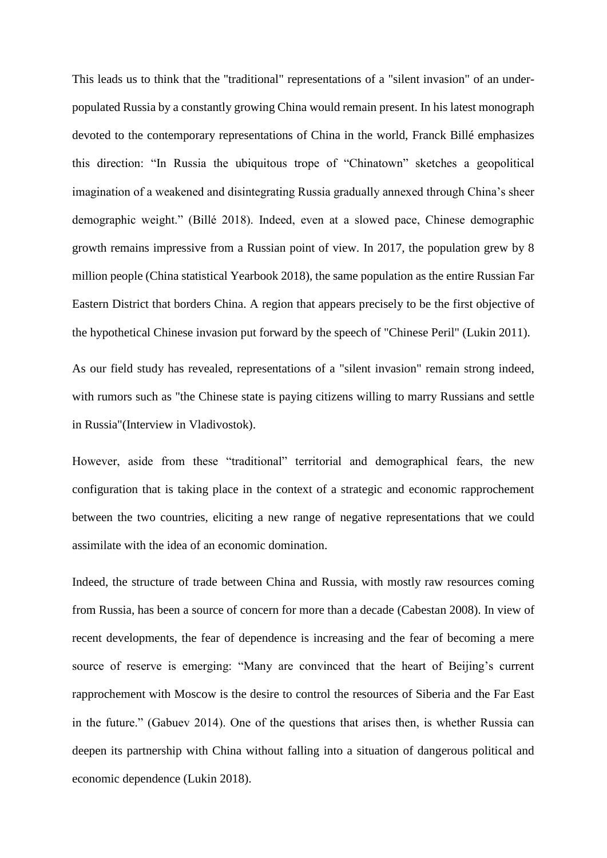This leads us to think that the "traditional" representations of a "silent invasion" of an underpopulated Russia by a constantly growing China would remain present. In his latest monograph devoted to the contemporary representations of China in the world, Franck Billé emphasizes this direction: "In Russia the ubiquitous trope of "Chinatown" sketches a geopolitical imagination of a weakened and disintegrating Russia gradually annexed through China's sheer demographic weight." (Billé 2018). Indeed, even at a slowed pace, Chinese demographic growth remains impressive from a Russian point of view. In 2017, the population grew by 8 million people (China statistical Yearbook 2018), the same population as the entire Russian Far Eastern District that borders China. A region that appears precisely to be the first objective of the hypothetical Chinese invasion put forward by the speech of "Chinese Peril" (Lukin 2011).

As our field study has revealed, representations of a "silent invasion" remain strong indeed, with rumors such as "the Chinese state is paying citizens willing to marry Russians and settle in Russia"(Interview in Vladivostok).

However, aside from these "traditional" territorial and demographical fears, the new configuration that is taking place in the context of a strategic and economic rapprochement between the two countries, eliciting a new range of negative representations that we could assimilate with the idea of an economic domination.

Indeed, the structure of trade between China and Russia, with mostly raw resources coming from Russia, has been a source of concern for more than a decade (Cabestan 2008). In view of recent developments, the fear of dependence is increasing and the fear of becoming a mere source of reserve is emerging: "Many are convinced that the heart of Beijing's current rapprochement with Moscow is the desire to control the resources of Siberia and the Far East in the future." (Gabuev 2014). One of the questions that arises then, is whether Russia can deepen its partnership with China without falling into a situation of dangerous political and economic dependence (Lukin 2018).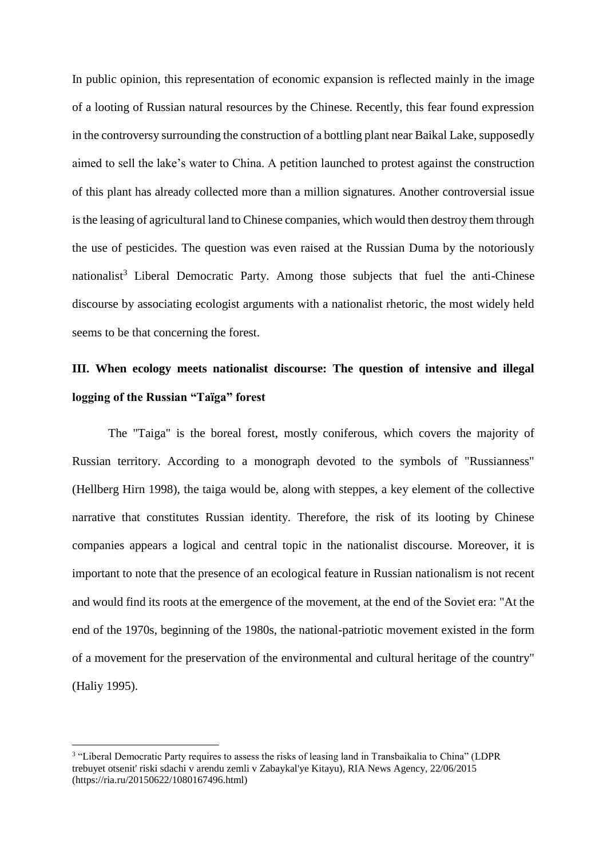In public opinion, this representation of economic expansion is reflected mainly in the image of a looting of Russian natural resources by the Chinese. Recently, this fear found expression in the controversy surrounding the construction of a bottling plant near Baikal Lake, supposedly aimed to sell the lake's water to China. A petition launched to protest against the construction of this plant has already collected more than a million signatures. Another controversial issue is the leasing of agricultural land to Chinese companies, which would then destroy them through the use of pesticides. The question was even raised at the Russian Duma by the notoriously nationalist<sup>3</sup> Liberal Democratic Party. Among those subjects that fuel the anti-Chinese discourse by associating ecologist arguments with a nationalist rhetoric, the most widely held seems to be that concerning the forest.

# **III. When ecology meets nationalist discourse: The question of intensive and illegal logging of the Russian "Taïga" forest**

The "Taiga" is the boreal forest, mostly coniferous, which covers the majority of Russian territory. According to a monograph devoted to the symbols of "Russianness" (Hellberg Hirn 1998), the taiga would be, along with steppes, a key element of the collective narrative that constitutes Russian identity. Therefore, the risk of its looting by Chinese companies appears a logical and central topic in the nationalist discourse. Moreover, it is important to note that the presence of an ecological feature in Russian nationalism is not recent and would find its roots at the emergence of the movement, at the end of the Soviet era: "At the end of the 1970s, beginning of the 1980s, the national-patriotic movement existed in the form of a movement for the preservation of the environmental and cultural heritage of the country" (Haliy 1995).

1

<sup>3</sup> "Liberal Democratic Party requires to assess the risks of leasing land in Transbaikalia to China" (LDPR trebuyet otsenit' riski sdachi v arendu zemli v Zabaykal'ye Kitayu), RIA News Agency, 22/06/2015 (https://ria.ru/20150622/1080167496.html)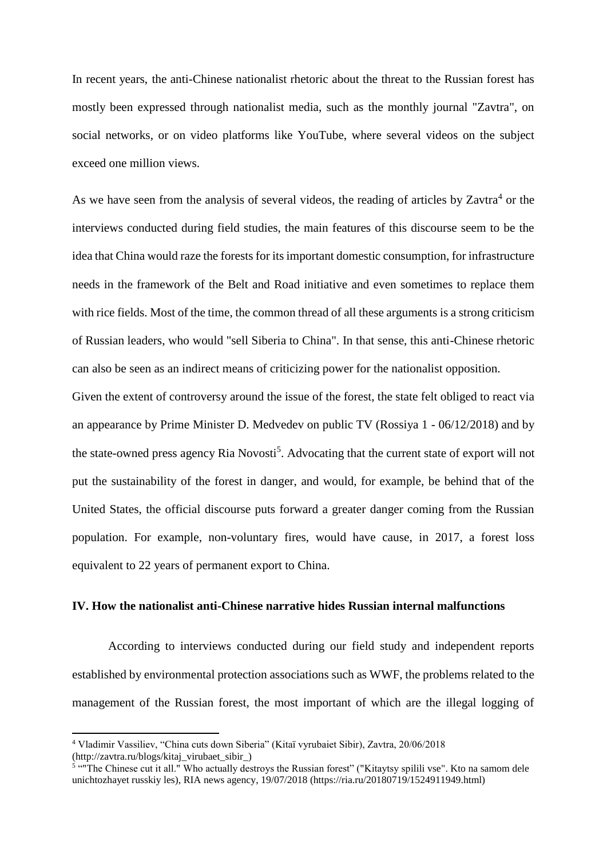In recent years, the anti-Chinese nationalist rhetoric about the threat to the Russian forest has mostly been expressed through nationalist media, such as the monthly journal "Zavtra", on social networks, or on video platforms like YouTube, where several videos on the subject exceed one million views.

As we have seen from the analysis of several videos, the reading of articles by Zavtra<sup>4</sup> or the interviews conducted during field studies, the main features of this discourse seem to be the idea that China would raze the forests for its important domestic consumption, for infrastructure needs in the framework of the Belt and Road initiative and even sometimes to replace them with rice fields. Most of the time, the common thread of all these arguments is a strong criticism of Russian leaders, who would "sell Siberia to China". In that sense, this anti-Chinese rhetoric can also be seen as an indirect means of criticizing power for the nationalist opposition.

Given the extent of controversy around the issue of the forest, the state felt obliged to react via an appearance by Prime Minister D. Medvedev on public TV (Rossiya 1 - 06/12/2018) and by the state-owned press agency Ria Novosti<sup>5</sup>. Advocating that the current state of export will not put the sustainability of the forest in danger, and would, for example, be behind that of the United States, the official discourse puts forward a greater danger coming from the Russian population. For example, non-voluntary fires, would have cause, in 2017, a forest loss equivalent to 22 years of permanent export to China.

#### **IV. How the nationalist anti-Chinese narrative hides Russian internal malfunctions**

According to interviews conducted during our field study and independent reports established by environmental protection associations such as WWF, the problems related to the management of the Russian forest, the most important of which are the illegal logging of

**.** 

<sup>4</sup> Vladimir Vassiliev, "China cuts down Siberia" (Kitaï vyrubaiet Sibir), Zavtra, 20/06/2018 (http://zavtra.ru/blogs/kitaj\_virubaet\_sibir\_)

<sup>&</sup>lt;sup>5 ""</sup>The Chinese cut it all." Who actually destroys the Russian forest" ("Kitaytsy spilili vse". Kto na samom dele unichtozhayet russkiy les), RIA news agency, 19/07/2018 (https://ria.ru/20180719/1524911949.html)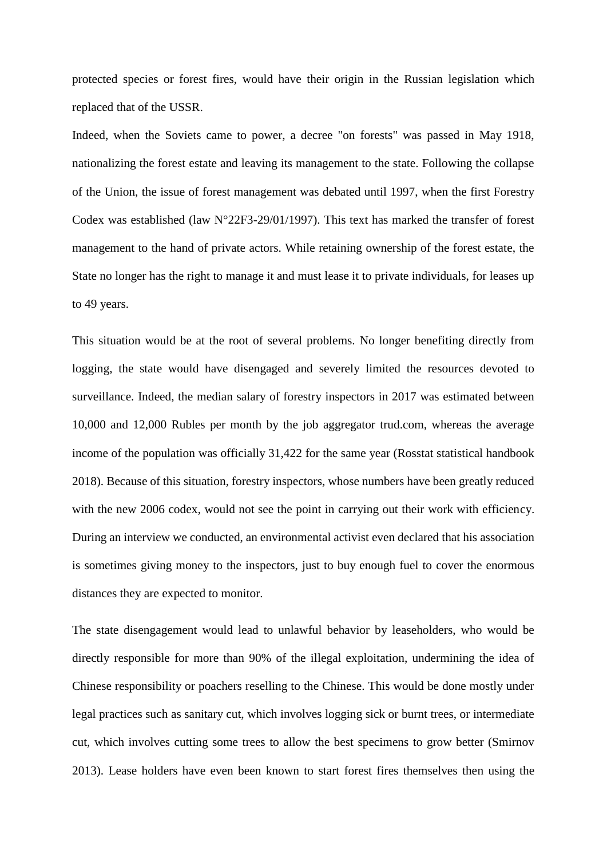protected species or forest fires, would have their origin in the Russian legislation which replaced that of the USSR.

Indeed, when the Soviets came to power, a decree "on forests" was passed in May 1918, nationalizing the forest estate and leaving its management to the state. Following the collapse of the Union, the issue of forest management was debated until 1997, when the first Forestry Codex was established (law  $N^{\circ}22F3-29/01/1997$ ). This text has marked the transfer of forest management to the hand of private actors. While retaining ownership of the forest estate, the State no longer has the right to manage it and must lease it to private individuals, for leases up to 49 years.

This situation would be at the root of several problems. No longer benefiting directly from logging, the state would have disengaged and severely limited the resources devoted to surveillance. Indeed, the median salary of forestry inspectors in 2017 was estimated between 10,000 and 12,000 Rubles per month by the job aggregator trud.com, whereas the average income of the population was officially 31,422 for the same year (Rosstat statistical handbook 2018). Because of this situation, forestry inspectors, whose numbers have been greatly reduced with the new 2006 codex, would not see the point in carrying out their work with efficiency. During an interview we conducted, an environmental activist even declared that his association is sometimes giving money to the inspectors, just to buy enough fuel to cover the enormous distances they are expected to monitor.

The state disengagement would lead to unlawful behavior by leaseholders, who would be directly responsible for more than 90% of the illegal exploitation, undermining the idea of Chinese responsibility or poachers reselling to the Chinese. This would be done mostly under legal practices such as sanitary cut, which involves logging sick or burnt trees, or intermediate cut, which involves cutting some trees to allow the best specimens to grow better (Smirnov 2013). Lease holders have even been known to start forest fires themselves then using the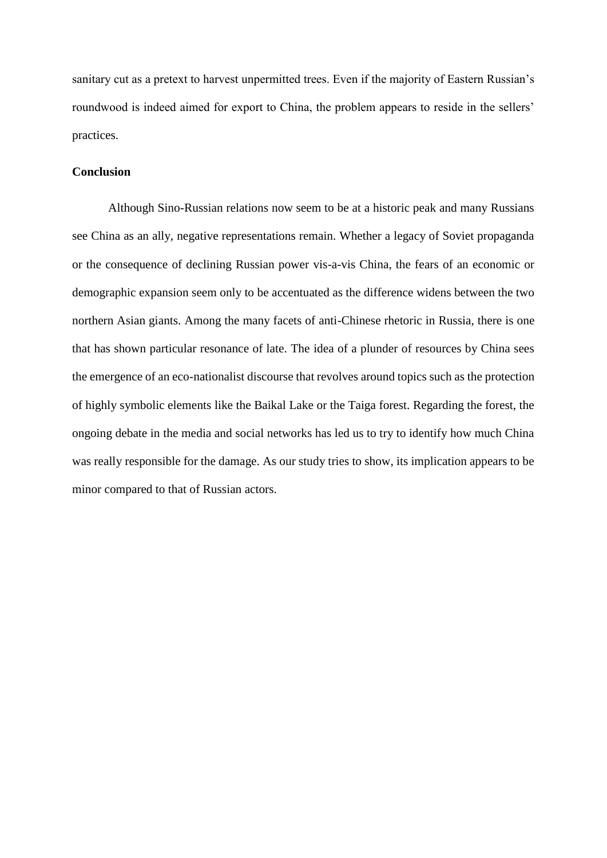sanitary cut as a pretext to harvest unpermitted trees. Even if the majority of Eastern Russian's roundwood is indeed aimed for export to China, the problem appears to reside in the sellers' practices.

#### **Conclusion**

Although Sino-Russian relations now seem to be at a historic peak and many Russians see China as an ally, negative representations remain. Whether a legacy of Soviet propaganda or the consequence of declining Russian power vis-a-vis China, the fears of an economic or demographic expansion seem only to be accentuated as the difference widens between the two northern Asian giants. Among the many facets of anti-Chinese rhetoric in Russia, there is one that has shown particular resonance of late. The idea of a plunder of resources by China sees the emergence of an eco-nationalist discourse that revolves around topics such as the protection of highly symbolic elements like the Baikal Lake or the Taiga forest. Regarding the forest, the ongoing debate in the media and social networks has led us to try to identify how much China was really responsible for the damage. As our study tries to show, its implication appears to be minor compared to that of Russian actors.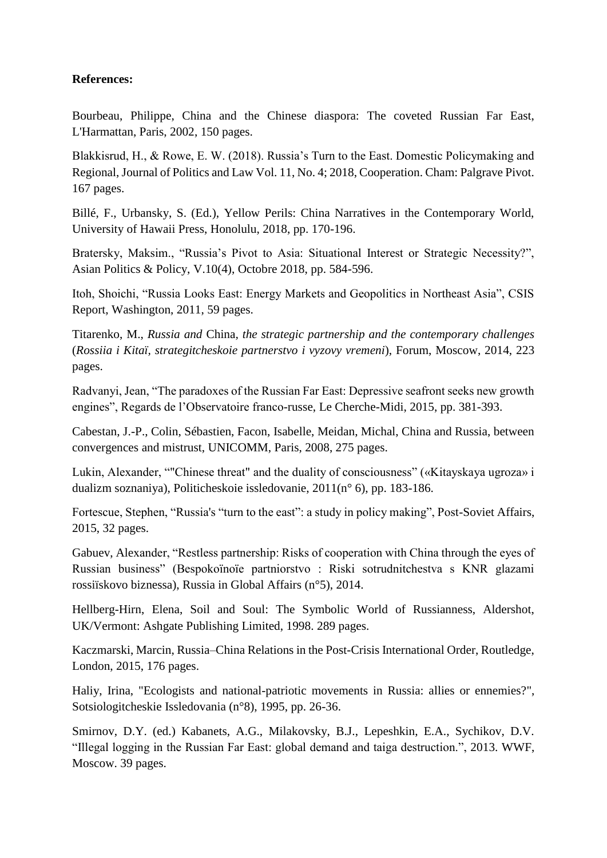### **References:**

Bourbeau, Philippe, China and the Chinese diaspora: The coveted Russian Far East, L'Harmattan, Paris, 2002, 150 pages.

Blakkisrud, H., & Rowe, E. W. (2018). Russia's Turn to the East. Domestic Policymaking and Regional, Journal of Politics and Law Vol. 11, No. 4; 2018, Cooperation. Cham: Palgrave Pivot. 167 pages.

Billé, F., Urbansky, S. (Ed.), Yellow Perils: China Narratives in the Contemporary World, University of Hawaii Press, Honolulu, 2018, pp. 170-196.

Bratersky, Maksim., "Russia's Pivot to Asia: Situational Interest or Strategic Necessity?", Asian Politics & Policy, V.10(4), Octobre 2018, pp. 584-596.

Itoh, Shoichi, "Russia Looks East: Energy Markets and Geopolitics in Northeast Asia", CSIS Report, Washington, 2011, 59 pages.

Titarenko, M., *Russia and* China*, the strategic partnership and the contemporary challenges* (*Rossiia i Kitaï, strategitcheskoie partnerstvo i vyzovy vremeni*), Forum, Moscow, 2014, 223 pages.

Radvanyi, Jean, "The paradoxes of the Russian Far East: Depressive seafront seeks new growth engines", Regards de l'Observatoire franco-russe, Le Cherche-Midi, 2015, pp. 381-393.

Cabestan, J.-P., Colin, Sébastien, Facon, Isabelle, Meidan, Michal, China and Russia, between convergences and mistrust, UNICOMM, Paris, 2008, 275 pages.

Lukin, Alexander, ""Chinese threat" and the duality of consciousness" («Kitayskaya ugroza» i dualizm soznaniya), Politicheskoie issledovanie, 2011(n° 6), pp. 183-186.

Fortescue, Stephen, "Russia's "turn to the east": a study in policy making", Post-Soviet Affairs, 2015, 32 pages.

Gabuev, Alexander, "Restless partnership: Risks of cooperation with China through the eyes of Russian business" (Bespokoïnoïe partniorstvo : Riski sotrudnitchestva s KNR glazami rossiïskovo biznessa), Russia in Global Affairs (n°5), 2014.

Hellberg-Hirn, Elena, Soil and Soul: The Symbolic World of Russianness, Aldershot, UK/Vermont: Ashgate Publishing Limited, 1998. 289 pages.

Kaczmarski, Marcin, Russia–China Relations in the Post-Crisis International Order, Routledge, London, 2015, 176 pages.

Haliy, Irina, "Ecologists and national-patriotic movements in Russia: allies or ennemies?", Sotsiologitcheskie Issledovania (n°8), 1995, pp. 26-36.

Smirnov, D.Y. (ed.) Kabanets, A.G., Milakovsky, B.J., Lepeshkin, E.A., Sychikov, D.V. "Illegal logging in the Russian Far East: global demand and taiga destruction.", 2013. WWF, Moscow. 39 pages.